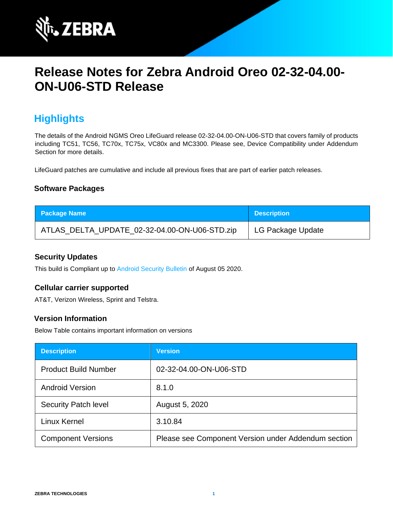

# **Release Notes for Zebra Android Oreo 02-32-04.00- ON-U06-STD Release**

# **Highlights**

The details of the Android NGMS Oreo LifeGuard release 02-32-04.00-ON-U06-STD that covers family of products including TC51, TC56, TC70x, TC75x, VC80x and MC3300. Please see, Device Compatibility under Addendum Section for more details.

LifeGuard patches are cumulative and include all previous fixes that are part of earlier patch releases.

### **Software Packages**

| <b>Package Name</b>                           | <b>Description</b> |
|-----------------------------------------------|--------------------|
| ATLAS_DELTA_UPDATE_02-32-04.00-ON-U06-STD.zip | LG Package Update  |

### **Security Updates**

This build is Compliant up to [Android Security Bulletin](https://source.android.com/security/bulletin/) of August 05 2020.

#### **Cellular carrier supported**

AT&T, Verizon Wireless, Sprint and Telstra.

## **Version Information**

Below Table contains important information on versions

| <b>Description</b>          | <b>Version</b>                                      |
|-----------------------------|-----------------------------------------------------|
| <b>Product Build Number</b> | 02-32-04.00-ON-U06-STD                              |
| <b>Android Version</b>      | 8.1.0                                               |
| <b>Security Patch level</b> | August 5, 2020                                      |
| Linux Kernel                | 3.10.84                                             |
| <b>Component Versions</b>   | Please see Component Version under Addendum section |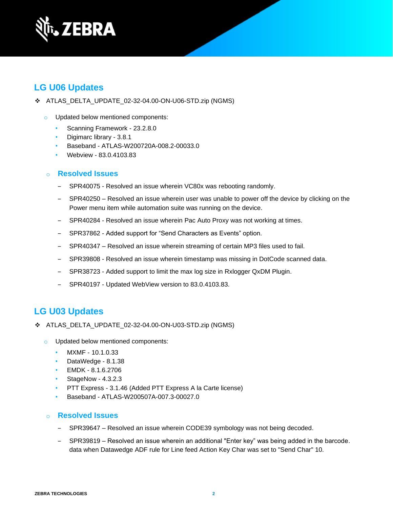

## **LG U06 Updates**

- ❖ ATLAS\_DELTA\_UPDATE\_02-32-04.00-ON-U06-STD.zip (NGMS)
	- o Updated below mentioned components:
		- Scanning Framework 23.2.8.0
		- Digimarc library 3.8.1
		- Baseband ATLAS-W200720A-008.2-00033.0
		- Webview 83.0.4103.83

#### o **Resolved Issues**

- SPR40075 Resolved an issue wherein VC80x was rebooting randomly.
- ‒ SPR40250 Resolved an issue wherein user was unable to power off the device by clicking on the Power menu item while automation suite was running on the device.
- SPR40284 Resolved an issue wherein Pac Auto Proxy was not working at times.
- SPR37862 Added support for "Send Characters as Events" option.
- ‒ SPR40347 Resolved an issue wherein streaming of certain MP3 files used to fail.
- ‒ SPR39808 Resolved an issue wherein timestamp was missing in DotCode scanned data.
- SPR38723 Added support to limit the max log size in Rxlogger QxDM Plugin.
- ‒ SPR40197 Updated WebView version to 83.0.4103.83.

## **LG U03 Updates**

- ❖ ATLAS\_DELTA\_UPDATE\_02-32-04.00-ON-U03-STD.zip (NGMS)
	- o Updated below mentioned components:
		- MXMF 10.1.0.33
		- DataWedge 8.1.38
		- EMDK 8.1.6.2706
		- StageNow 4.3.2.3
		- PTT Express 3.1.46 (Added PTT Express A la Carte license)
		- Baseband ATLAS-W200507A-007.3-00027.0

#### o **Resolved Issues**

- SPR39647 Resolved an issue wherein CODE39 symbology was not being decoded.
- SPR39819 Resolved an issue wherein an additional "Enter key" was being added in the barcode. data when Datawedge ADF rule for Line feed Action Key Char was set to "Send Char" 10.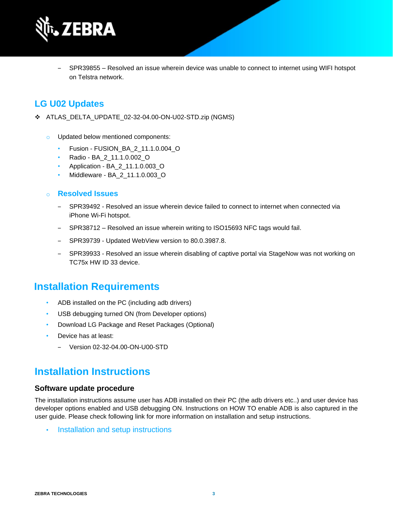

SPR39855 – Resolved an issue wherein device was unable to connect to internet using WIFI hotspot on Telstra network.

## **LG U02 Updates**

- ❖ ATLAS\_DELTA\_UPDATE\_02-32-04.00-ON-U02-STD.zip (NGMS)
	- Updated below mentioned components:
		- Fusion FUSION\_BA\_2\_11.1.0.004\_O
		- Radio BA\_2\_11.1.0.002\_O
		- Application BA\_2\_11.1.0.003\_O
		- Middleware BA\_2\_11.1.0.003\_O
	- o **Resolved Issues** 
		- ‒ SPR39492 Resolved an issue wherein device failed to connect to internet when connected via iPhone Wi-Fi hotspot.
		- ‒ SPR38712 Resolved an issue wherein writing to ISO15693 NFC tags would fail.
		- SPR39739 Updated WebView version to 80.0.3987.8.
		- ‒ SPR39933 Resolved an issue wherein disabling of captive portal via StageNow was not working on TC75x HW ID 33 device.

## **Installation Requirements**

- ADB installed on the PC (including adb drivers)
- USB debugging turned ON (from Developer options)
- Download LG Package and Reset Packages (Optional)
- Device has at least:
	- ‒ Version 02-32-04.00-ON-U00-STD

## **Installation Instructions**

#### **Software update procedure**

The installation instructions assume user has ADB installed on their PC (the adb drivers etc..) and user device has developer options enabled and USB debugging ON. Instructions on HOW TO enable ADB is also captured in the user guide. Please check following link for more information on installation and setup instructions.

• [Installation and setup instructions](https://www.zebra.com/content/dam/zebra_new_ia/en-us/software/operating-system/tc5x-tc7x-shared-operating-system/atlas_oreo-os-update-instructions.pdf)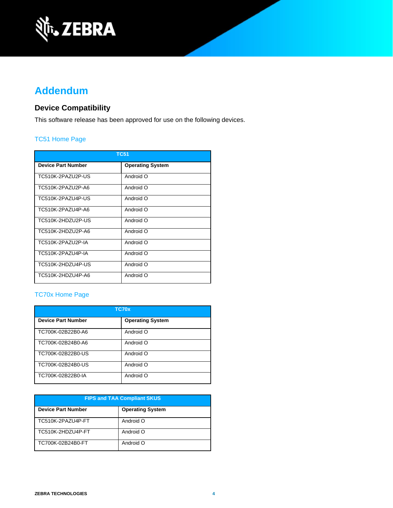

# **Addendum**

## **Device Compatibility**

This software release has been approved for use on the following devices.

### [TC51 Home Page](https://www.zebra.com/us/en/support-downloads/mobile-computers/handheld/tc51.html)

| <b>TC51</b>               |                         |  |  |
|---------------------------|-------------------------|--|--|
| <b>Device Part Number</b> | <b>Operating System</b> |  |  |
| TC510K-2PAZU2P-US         | Android O               |  |  |
| TC510K-2PAZU2P-A6         | Android O               |  |  |
| TC510K-2PAZU4P-US         | Android O               |  |  |
| TC510K-2PAZU4P-A6         | Android O               |  |  |
| TC510K-2HDZU2P-US         | Android O               |  |  |
| TC510K-2HDZU2P-A6         | Android O               |  |  |
| TC510K-2PAZU2P-IA         | Android O               |  |  |
| TC510K-2PAZU4P-IA         | O bionbnA               |  |  |
| TC510K-2HDZU4P-US         | O bionbnA               |  |  |
| TC510K-2HDZU4P-A6         | Android O               |  |  |

## [TC70x Home Page](https://www.zebra.com/us/en/support-downloads/mobile-computers/handheld/tc70x.html)

| TC70x                     |                         |  |  |
|---------------------------|-------------------------|--|--|
| <b>Device Part Number</b> | <b>Operating System</b> |  |  |
| TC700K-02B22B0-A6         | Android O               |  |  |
| TC700K-02B24B0-A6         | Android O               |  |  |
| TC700K-02B22B0-US         | Android O               |  |  |
| TC700K-02B24B0-US         | Android O               |  |  |
| TC700K-02B22B0-IA         | Android O               |  |  |

| <b>FIPS and TAA Compliant SKUS</b> |                         |  |  |
|------------------------------------|-------------------------|--|--|
| <b>Device Part Number</b>          | <b>Operating System</b> |  |  |
| TC510K-2PAZU4P-FT                  | Android O               |  |  |
| TC510K-2HDZU4P-FT                  | Android O               |  |  |
| TC700K-02B24B0-FT                  | Android O               |  |  |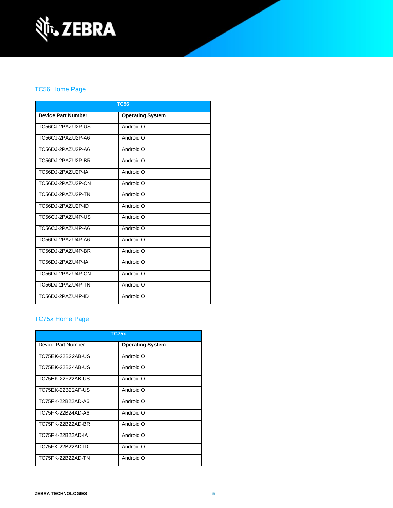

## [TC56 Home Page](https://www.zebra.com/us/en/support-downloads/mobile-computers/handheld/tc56.html)

| <b>TC56</b>               |                         |  |  |
|---------------------------|-------------------------|--|--|
| <b>Device Part Number</b> | <b>Operating System</b> |  |  |
| TC56CJ-2PAZU2P-US         | Android O               |  |  |
| TC56C.I-2PAZU2P-A6        | Android O               |  |  |
| TC56DJ-2PAZU2P-A6         | Android O               |  |  |
| TC56DJ-2PAZU2P-BR         | Android O               |  |  |
| TC56DJ-2PAZU2P-IA         | Android O               |  |  |
| TC56DJ-2PAZU2P-CN         | Android O               |  |  |
| TC56DJ-2PAZU2P-TN         | Android O               |  |  |
| TC56DJ-2PAZU2P-ID         | Android O               |  |  |
| TC56CJ-2PAZU4P-US         | Android O               |  |  |
| TC56C.I-2PAZU4P-A6        | Android O               |  |  |
| TC56DJ-2PAZU4P-A6         | Android O               |  |  |
| TC56DJ-2PAZU4P-BR         | Android O               |  |  |
| TC56DJ-2PAZU4P-IA         | Android O               |  |  |
| TC56DJ-2PAZU4P-CN         | Android O               |  |  |
| TC56DJ-2PAZU4P-TN         | Android O               |  |  |
| TC56DJ-2PAZU4P-ID         | Android O               |  |  |

## [TC75x Home Page](https://www.zebra.com/us/en/support-downloads/mobile-computers/handheld/tc75x.html)

| <b>TC75x</b>       |                         |  |  |
|--------------------|-------------------------|--|--|
| Device Part Number | <b>Operating System</b> |  |  |
| TC75EK-22B22AB-US  | Android O               |  |  |
| TC75EK-22B24AB-US  | Android O               |  |  |
| TC75EK-22F22AB-US  | Android O               |  |  |
| TC75EK-22B22AF-US  | Android O               |  |  |
| TC75FK-22B22AD-A6  | Android O               |  |  |
| TC75FK-22B24AD-A6  | Android O               |  |  |
| TC75FK-22B22AD-BR  | Android O               |  |  |
| TC75FK-22B22AD-IA  | Android O               |  |  |
| TC75FK-22B22AD-ID  | Android O               |  |  |
| TC75FK-22B22AD-TN  | Android O               |  |  |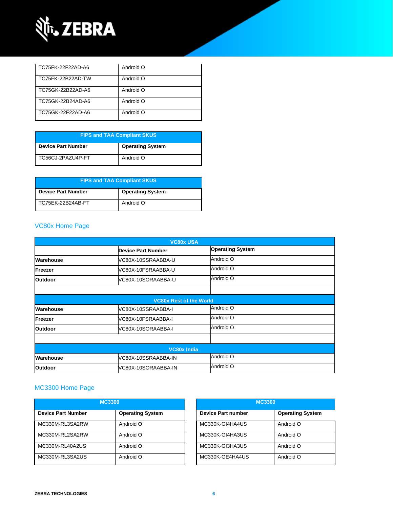

| TC75FK-22F22AD-A6 | Android O |
|-------------------|-----------|
| TC75FK-22B22AD-TW | Android O |
| TC75GK-22B22AD-A6 | Android O |
| TC75GK-22B24AD-A6 | Android O |
| TC75GK-22F22AD-A6 | Android O |

| <b>FIPS and TAA Compliant SKUS</b> |                         |  |  |
|------------------------------------|-------------------------|--|--|
| <b>Device Part Number</b>          | <b>Operating System</b> |  |  |
| TC56CJ-2PAZU4P-FT                  | Android O               |  |  |

| <b>FIPS and TAA Compliant SKUS</b> |                         |  |
|------------------------------------|-------------------------|--|
| <b>Device Part Number</b>          | <b>Operating System</b> |  |
| TC75EK-22B24AB-FT                  | Android O               |  |

## [VC80x Home Page](https://www.zebra.com/us/en/support-downloads/mobile-computers/vehicle-mounted/vc80x.html)

| <b>VC80x USA</b>   |                                |                         |  |  |
|--------------------|--------------------------------|-------------------------|--|--|
|                    | <b>Device Part Number</b>      | <b>Operating System</b> |  |  |
| <b>Warehouse</b>   | VC80X-10SSRAABBA-U             | Android O               |  |  |
| Freezer            | VC80X-10FSRAABBA-U             | Android O               |  |  |
| <b>Outdoor</b>     | VC80X-10SORAABBA-U             | Android O               |  |  |
|                    |                                |                         |  |  |
|                    | <b>VC80x Rest of the World</b> |                         |  |  |
| Warehouse          | VC80X-10SSRAABBA-I             | Android O               |  |  |
| Freezer            | VC80X-10FSRAABBA-I             | Android O               |  |  |
| <b>Outdoor</b>     | VC80X-10SORAABBA-I             | Android O               |  |  |
|                    |                                |                         |  |  |
| <b>VC80x India</b> |                                |                         |  |  |
| Warehouse          | VC80X-10SSRAABBA-IN            | Android O               |  |  |
| <b>Outdoor</b>     | VC80X-10SORAABBA-IN            | Android O               |  |  |

## MC3300 [Home Page](https://www.zebra.com/us/en/support-downloads/mobile-computers/handheld/mc3300.html)

| <b>MC3300</b>             |                         | <b>MC3300</b>             |                         |
|---------------------------|-------------------------|---------------------------|-------------------------|
| <b>Device Part Number</b> | <b>Operating System</b> | <b>Device Part number</b> | <b>Operating System</b> |
| MC330M-RL3SA2RW           | Android O               | MC330K-GI4HA4US           | Android O               |
| MC330M-RL2SA2RW           | Android O               | MC330K-GI4HA3US           | Android O               |
| MC330M-RL40A2US           | Android O               | MC330K-GI3HA3US           | Android O               |
| MC330M-RL3SA2US           | Android O               | MC330K-GE4HA4US           | Android O               |

| <b>MC3300</b>      |                         |  |
|--------------------|-------------------------|--|
| Device Part number | <b>Operating System</b> |  |
| MC330K-GI4HA4US    | Android O               |  |
| MC330K-GI4HA3US    | Android O               |  |
| MC330K-GI3HA3US    | Android O               |  |
| MC330K-GE4HA4US    | Android O               |  |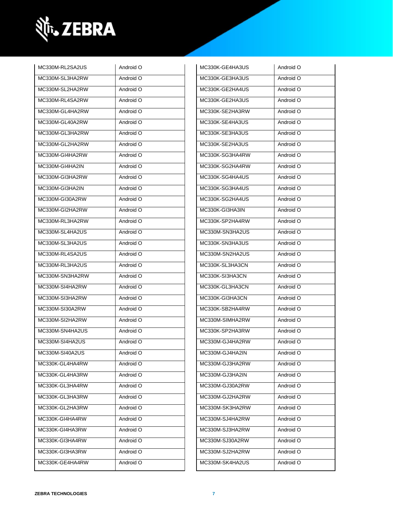

| MC330M-RL2SA2US | Android O | MC330K-GE4HA3US | Android O |
|-----------------|-----------|-----------------|-----------|
| MC330M-SL3HA2RW | Android O | MC330K-GE3HA3US | Android O |
| MC330M-SL2HA2RW | Android O | MC330K-GE2HA4US | Android O |
| MC330M-RL4SA2RW | Android O | MC330K-GE2HA3US | Android O |
| MC330M-GL4HA2RW | Android O | MC330K-SE2HA3RW | Android O |
| MC330M-GL40A2RW | Android O | MC330K-SE4HA3US | Android O |
| MC330M-GL3HA2RW | Android O | MC330K-SE3HA3US | Android O |
| MC330M-GL2HA2RW | Android O | MC330K-SE2HA3US | Android O |
| MC330M-GI4HA2RW | Android O | MC330K-SG3HA4RW | Android O |
| MC330M-GI4HA2IN | Android O | MC330K-SG2HA4RW | Android O |
| MC330M-GI3HA2RW | Android O | MC330K-SG4HA4US | Android O |
| MC330M-GI3HA2IN | Android O | MC330K-SG3HA4US | Android O |
| MC330M-GI30A2RW | Android O | MC330K-SG2HA4US | Android O |
| MC330M-GI2HA2RW | Android O | MC330K-GI3HA3IN | Android O |
| MC330M-RL3HA2RW | Android O | MC330K-SP2HA4RW | Android O |
| MC330M-SL4HA2US | Android O | MC330M-SN3HA2US | Android O |
| MC330M-SL3HA2US | Android O | MC330K-SN3HA3US | Android O |
| MC330M-RL4SA2US | Android O | MC330M-SN2HA2US | Android O |
| MC330M-RL3HA2US | Android O | MC330K-SL3HA3CN | Android O |
| MC330M-SN3HA2RW | Android O | MC330K-SI3HA3CN | Android O |
| MC330M-SI4HA2RW | Android O | MC330K-GL3HA3CN | Android O |
| MC330M-SI3HA2RW | Android O | MC330K-GI3HA3CN | Android O |
| MC330M-SI30A2RW | Android O | MC330K-SB2HA4RW | Android O |
| MC330M-SI2HA2RW | Android O | MC330M-SIMHA2RW | Android O |
| MC330M-SN4HA2US | Android O | MC330K-SP2HA3RW | Android O |
| MC330M-SI4HA2US | Android O | MC330M-GJ4HA2RW | Android O |
| MC330M-SI40A2US | Android O | MC330M-GJ4HA2IN | Android O |
| MC330K-GL4HA4RW | Android O | MC330M-GJ3HA2RW | Android O |
| MC330K-GL4HA3RW | Android O | MC330M-GJ3HA2IN | Android O |
| MC330K-GL3HA4RW | Android O | MC330M-GJ30A2RW | Android O |
| MC330K-GL3HA3RW | Android O | MC330M-GJ2HA2RW | Android O |
| MC330K-GL2HA3RW | Android O | MC330M-SK3HA2RW | Android O |
| MC330K-GI4HA4RW | Android O | MC330M-SJ4HA2RW | Android O |
| MC330K-GI4HA3RW | Android O | MC330M-SJ3HA2RW | Android O |
| MC330K-GI3HA4RW | Android O | MC330M-SJ30A2RW | Android O |
| MC330K-GI3HA3RW | Android O | MC330M-SJ2HA2RW | Android O |
| MC330K-GE4HA4RW | Android O | MC330M-SK4HA2US | Android O |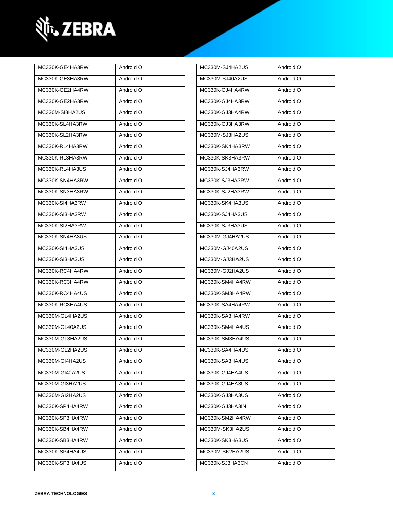

| MC330K-GE4HA3RW | Android O | MC330M-SJ4HA2US | Android O |
|-----------------|-----------|-----------------|-----------|
| MC330K-GE3HA3RW | Android O | MC330M-SJ40A2US | Android O |
| MC330K-GE2HA4RW | Android O | MC330K-GJ4HA4RW | Android O |
| MC330K-GE2HA3RW | Android O | MC330K-GJ4HA3RW | Android O |
| MC330M-SI3HA2US | Android O | MC330K-GJ3HA4RW | Android O |
| MC330K-SL4HA3RW | Android O | MC330K-GJ3HA3RW | Android O |
| MC330K-SL2HA3RW | Android O | MC330M-SJ3HA2US | Android O |
| MC330K-RL4HA3RW | Android O | MC330K-SK4HA3RW | Android O |
| MC330K-RL3HA3RW | Android O | MC330K-SK3HA3RW | Android O |
| MC330K-RL4HA3US | Android O | MC330K-SJ4HA3RW | Android O |
| MC330K-SN4HA3RW | Android O | MC330K-SJ3HA3RW | Android O |
| MC330K-SN3HA3RW | Android O | MC330K-SJ2HA3RW | Android O |
| MC330K-SI4HA3RW | Android O | MC330K-SK4HA3US | Android O |
| MC330K-SI3HA3RW | Android O | MC330K-SJ4HA3US | Android O |
| MC330K-SI2HA3RW | Android O | MC330K-SJ3HA3US | Android O |
| MC330K-SN4HA3US | Android O | MC330M-GJ4HA2US | Android O |
| MC330K-SI4HA3US | Android O | MC330M-GJ40A2US | Android O |
| MC330K-SI3HA3US | Android O | MC330M-GJ3HA2US | Android O |
| MC330K-RC4HA4RW | Android O | MC330M-GJ2HA2US | Android O |
| MC330K-RC3HA4RW | Android O | MC330K-SM4HA4RW | Android O |
| MC330K-RC4HA4US | Android O | MC330K-SM3HA4RW | Android O |
| MC330K-RC3HA4US | Android O | MC330K-SA4HA4RW | Android O |
| MC330M-GL4HA2US | Android O | MC330K-SA3HA4RW | Android O |
| MC330M-GL40A2US | Android O | MC330K-SM4HA4US | Android O |
| MC330M-GL3HA2US | Android O | MC330K-SM3HA4US | Android O |
| MC330M-GL2HA2US | Android O | MC330K-SA4HA4US | Android O |
| MC330M-GI4HA2US | Android O | MC330K-SA3HA4US | Android O |
| MC330M-GI40A2US | Android O | MC330K-GJ4HA4US | Android O |
| MC330M-GI3HA2US | Android O | MC330K-GJ4HA3US | Android O |
| MC330M-GI2HA2US | Android O | MC330K-GJ3HA3US | Android O |
| MC330K-SP4HA4RW | Android O | MC330K-GJ3HA3IN | Android O |
| MC330K-SP3HA4RW | Android O | MC330K-SM2HA4RW | Android O |
| MC330K-SB4HA4RW | Android O | MC330M-SK3HA2US | Android O |
| MC330K-SB3HA4RW | Android O | MC330K-SK3HA3US | Android O |
| MC330K-SP4HA4US | Android O | MC330M-SK2HA2US | Android O |
| MC330K-SP3HA4US | Android O | MC330K-SJ3HA3CN | Android O |
|                 |           |                 |           |

| MC330M-SJ4HA2US | Android O |
|-----------------|-----------|
| MC330M-SJ40A2US | Android O |
| MC330K-GJ4HA4RW | Android O |
| MC330K-GJ4HA3RW | Android O |
| MC330K-GJ3HA4RW | Android O |
| MC330K-GJ3HA3RW | Android O |
| MC330M-SJ3HA2US | Android O |
| MC330K-SK4HA3RW | Android O |
| MC330K-SK3HA3RW | Android O |
| MC330K-SJ4HA3RW | Android O |
| MC330K-SJ3HA3RW | Android O |
| MC330K-SJ2HA3RW | Android O |
| MC330K-SK4HA3US | Android O |
| MC330K-SJ4HA3US | Android O |
| MC330K-SJ3HA3US | Android O |
| MC330M-GJ4HA2US | Android O |
| MC330M-GJ40A2US | Android O |
| MC330M-GJ3HA2US | Android O |
| MC330M-GJ2HA2US | Android O |
| MC330K-SM4HA4RW | Android O |
| MC330K-SM3HA4RW | Android O |
| MC330K-SA4HA4RW | Android O |
| MC330K-SA3HA4RW | Android O |
| MC330K-SM4HA4US | Android O |
| MC330K-SM3HA4US | Android O |
| MC330K-SA4HA4US | Android O |
| MC330K-SA3HA4US | Android O |
| MC330K-GJ4HA4US | Android O |
| MC330K-GJ4HA3US | Android O |
| MC330K-GJ3HA3US | Android O |
| MC330K-GJ3HA3IN | Android O |
| MC330K-SM2HA4RW | Android O |
| MC330M-SK3HA2US | Android O |
| MC330K-SK3HA3US | Android O |
| MC330M-SK2HA2US | Android O |
| MC330K-SJ3HA3CN | Android O |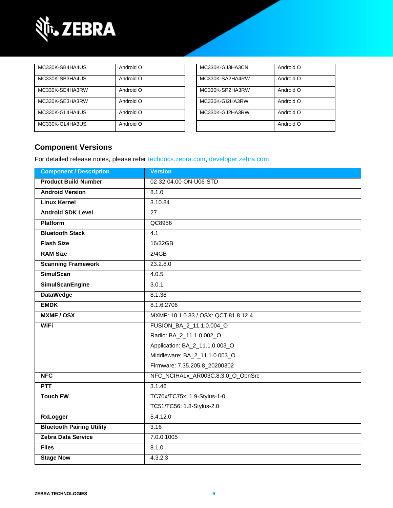

| MC330K-SB4HA4US | Android O | MC330K-GJ3HA3CN | Android O |
|-----------------|-----------|-----------------|-----------|
| MC330K-SB3HA4US | Android O | MC330K-SA2HA4RW | Android O |
| MC330K-SE4HA3RW | Android O | MC330K-SP2HA3RW | Android O |
| MC330K-SE3HA3RW | Android O | MC330K-GI2HA3RW | Android O |
| MC330K-GL4HA4US | Android O | MC330K-GJ2HA3RW | Android O |
| MC330K-GL4HA3US | Android O |                 | Android O |

| MC330K-GJ3HA3CN | Android O |
|-----------------|-----------|
| MC330K-SA2HA4RW | Android O |
| MC330K-SP2HA3RW | Android O |
| MC330K-GI2HA3RW | Android O |
| MC330K-GJ2HA3RW | Android O |
|                 | Android O |

## **Component Versions**

For detailed release notes, please refer [techdocs.zebra.com,](https://techdocs.zebra.com/) [developer.zebra.com](https://developer.zebra.com/)

| <b>Component / Description</b>   | <b>Version</b>                       |  |
|----------------------------------|--------------------------------------|--|
| <b>Product Build Number</b>      | 02-32-04.00-ON-U06-STD               |  |
| <b>Android Version</b>           | 8.1.0                                |  |
| <b>Linux Kernel</b>              | 3.10.84                              |  |
| <b>Android SDK Level</b>         | $\overline{27}$                      |  |
| <b>Platform</b>                  | QC8956                               |  |
| <b>Bluetooth Stack</b>           | 4.1                                  |  |
| <b>Flash Size</b>                | 16/32GB                              |  |
| <b>RAM Size</b>                  | 2/4GB                                |  |
| <b>Scanning Framework</b>        | 23.2.8.0                             |  |
| <b>SimulScan</b>                 | 4.0.5                                |  |
| <b>SimulScanEngine</b>           | 3.0.1                                |  |
| <b>DataWedge</b>                 | 8.1.38                               |  |
| <b>EMDK</b>                      | 8.1.6.2706                           |  |
| <b>MXMF/OSX</b>                  | MXMF: 10.1.0.33 / OSX: QCT.81.8.12.4 |  |
| <b>WiFi</b>                      | FUSION_BA_2_11.1.0.004_O             |  |
|                                  | Radio: BA_2_11.1.0.002_O             |  |
|                                  | Application: BA_2_11.1.0.003_O       |  |
|                                  | Middleware: BA_2_11.1.0.003_O        |  |
|                                  | Firmware: 7.35.205.8_20200302        |  |
| <b>NFC</b>                       | NFC_NCIHALx_AR003C.8.3.0_O_OpnSrc    |  |
| <b>PTT</b>                       | 3.1.46                               |  |
| <b>Touch FW</b>                  | TC70x/TC75x: 1.9-Stylus-1-0          |  |
|                                  | TC51/TC56: 1.8-Stylus-2.0            |  |
| <b>RxLogger</b>                  | 5.4.12.0                             |  |
| <b>Bluetooth Pairing Utility</b> | 3.16                                 |  |
| <b>Zebra Data Service</b>        | 7.0.0.1005                           |  |
| <b>Files</b>                     | 8.1.0                                |  |
| <b>Stage Now</b>                 | 4.3.2.3                              |  |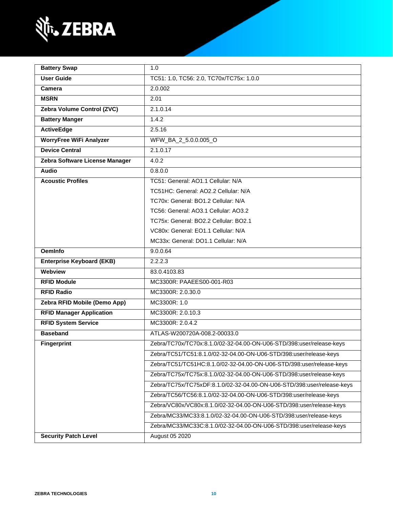

| <b>Battery Swap</b>                                                    | 1.0                                                                  |  |
|------------------------------------------------------------------------|----------------------------------------------------------------------|--|
| <b>User Guide</b>                                                      | TC51: 1.0, TC56: 2.0, TC70x/TC75x: 1.0.0                             |  |
| Camera                                                                 | 2.0.002                                                              |  |
| <b>MSRN</b>                                                            | 2.01                                                                 |  |
| Zebra Volume Control (ZVC)                                             | 2.1.0.14                                                             |  |
| <b>Battery Manger</b>                                                  | 1.4.2                                                                |  |
| <b>ActiveEdge</b>                                                      | 2.5.16                                                               |  |
| <b>WorryFree WiFi Analyzer</b>                                         | WFW_BA_2_5.0.0.005_O                                                 |  |
| <b>Device Central</b>                                                  | 2.1.0.17                                                             |  |
| Zebra Software License Manager                                         | 4.0.2                                                                |  |
| <b>Audio</b>                                                           | 0.8.0.0                                                              |  |
| <b>Acoustic Profiles</b>                                               | TC51: General: AO1.1 Cellular: N/A                                   |  |
|                                                                        | TC51HC: General: AO2.2 Cellular: N/A                                 |  |
|                                                                        | TC70x: General: BO1.2 Cellular: N/A                                  |  |
|                                                                        | TC56: General: AO3.1 Cellular: AO3.2                                 |  |
|                                                                        | TC75x: General: BO2.2 Cellular: BO2.1                                |  |
|                                                                        | VC80x: General: EO1.1 Cellular: N/A                                  |  |
|                                                                        | MC33x: General: DO1.1 Cellular: N/A                                  |  |
| <b>OemInfo</b>                                                         | 9.0.0.64                                                             |  |
| <b>Enterprise Keyboard (EKB)</b>                                       | 2.2.2.3                                                              |  |
| Webview                                                                | 83.0.4103.83                                                         |  |
| <b>RFID Module</b>                                                     | MC3300R: PAAEES00-001-R03                                            |  |
| <b>RFID Radio</b>                                                      | MC3300R: 2.0.30.0                                                    |  |
| Zebra RFID Mobile (Demo App)                                           | MC3300R: 1.0                                                         |  |
| <b>RFID Manager Application</b>                                        | MC3300R: 2.0.10.3                                                    |  |
| <b>RFID System Service</b>                                             | MC3300R: 2.0.4.2                                                     |  |
| <b>Baseband</b>                                                        | ATLAS-W200720A-008.2-00033.0                                         |  |
| <b>Fingerprint</b>                                                     | Zebra/TC70x/TC70x:8.1.0/02-32-04.00-ON-U06-STD/398:user/release-keys |  |
|                                                                        | Zebra/TC51/TC51:8.1.0/02-32-04.00-ON-U06-STD/398:user/release-keys   |  |
| Zebra/TC51/TC51HC:8.1.0/02-32-04.00-ON-U06-STD/398:user/release-keys   |                                                                      |  |
| Zebra/TC75x/TC75x:8.1.0/02-32-04.00-ON-U06-STD/398:user/release-keys   |                                                                      |  |
| Zebra/TC75x/TC75xDF:8.1.0/02-32-04.00-ON-U06-STD/398:user/release-keys |                                                                      |  |
|                                                                        | Zebra/TC56/TC56:8.1.0/02-32-04.00-ON-U06-STD/398:user/release-keys   |  |
|                                                                        | Zebra/VC80x/VC80x:8.1.0/02-32-04.00-ON-U06-STD/398:user/release-keys |  |
|                                                                        | Zebra/MC33/MC33:8.1.0/02-32-04.00-ON-U06-STD/398:user/release-keys   |  |
|                                                                        | Zebra/MC33/MC33C:8.1.0/02-32-04.00-ON-U06-STD/398:user/release-keys  |  |
| <b>Security Patch Level</b>                                            | August 05 2020                                                       |  |